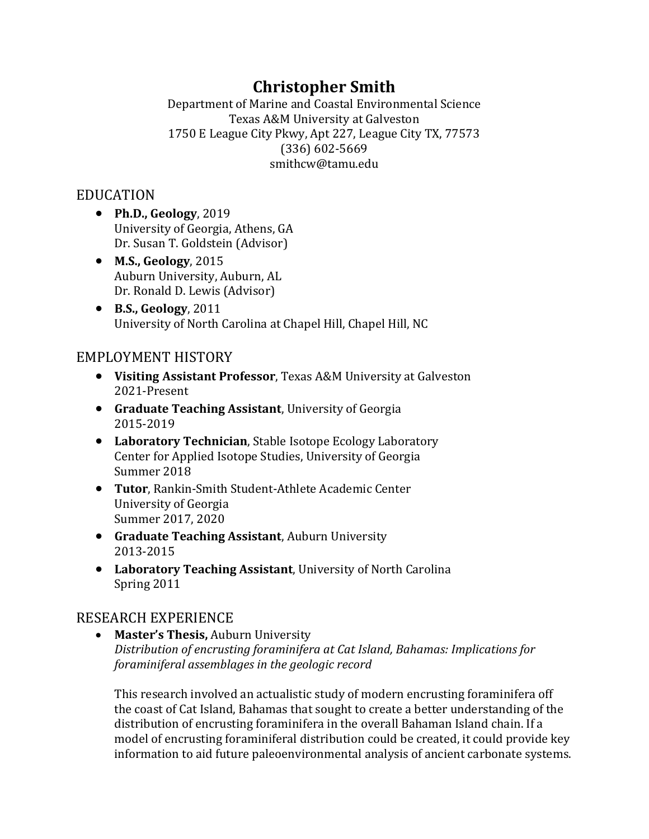# **Christopher Smith**

Department of Marine and Coastal Environmental Science Texas A&M University at Galveston 1750 E League City Pkwy, Apt 227, League City TX, 77573 (336) 602-5669 smithcw@tamu.edu

# EDUCATION

- **Ph.D., Geology**, 2019 University of Georgia, Athens, GA Dr. Susan T. Goldstein (Advisor)
- **M.S., Geology**, 2015 Auburn University, Auburn, AL Dr. Ronald D. Lewis (Advisor)
- **B.S., Geology**, 2011 University of North Carolina at Chapel Hill, Chapel Hill, NC

# EMPLOYMENT HISTORY

- **Visiting Assistant Professor**, Texas A&M University at Galveston 2021-Present
- **Graduate Teaching Assistant**, University of Georgia 2015-2019
- **Laboratory Technician**, Stable Isotope Ecology Laboratory Center for Applied Isotope Studies, University of Georgia Summer 2018
- **Tutor**, Rankin-Smith Student-Athlete Academic Center University of Georgia Summer 2017, 2020
- **Graduate Teaching Assistant**, Auburn University 2013-2015
- **Laboratory Teaching Assistant**, University of North Carolina Spring 2011

# RESEARCH EXPERIENCE

• **Master's Thesis,** Auburn University *Distribution of encrusting foraminifera at Cat Island, Bahamas: Implications for foraminiferal assemblages in the geologic record*

This research involved an actualistic study of modern encrusting foraminifera off the coast of Cat Island, Bahamas that sought to create a better understanding of the distribution of encrusting foraminifera in the overall Bahaman Island chain. If a model of encrusting foraminiferal distribution could be created, it could provide key information to aid future paleoenvironmental analysis of ancient carbonate systems.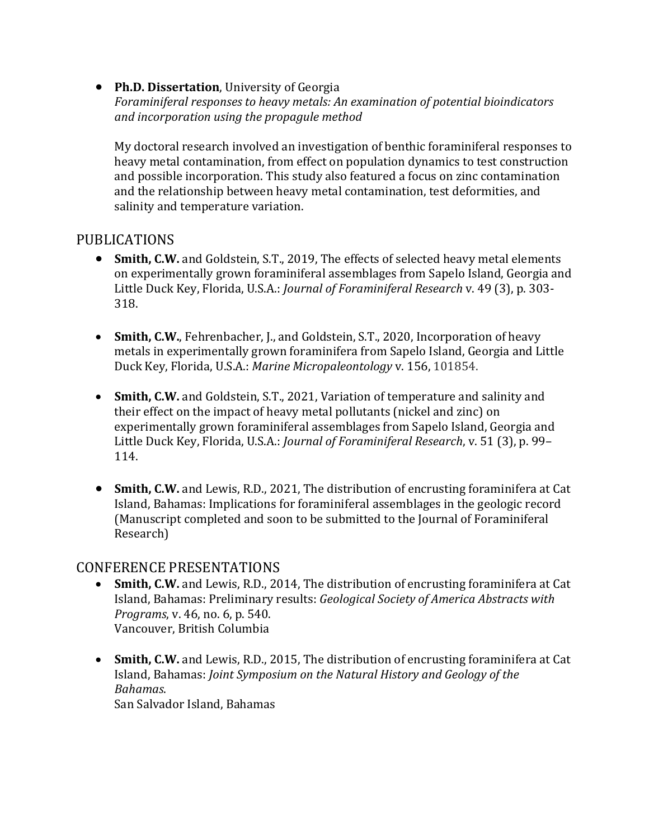• **Ph.D. Dissertation**, University of Georgia *Foraminiferal responses to heavy metals: An examination of potential bioindicators and incorporation using the propagule method*

My doctoral research involved an investigation of benthic foraminiferal responses to heavy metal contamination, from effect on population dynamics to test construction and possible incorporation. This study also featured a focus on zinc contamination and the relationship between heavy metal contamination, test deformities, and salinity and temperature variation.

# PUBLICATIONS

- **Smith, C.W.** and Goldstein, S.T., 2019, The effects of selected heavy metal elements on experimentally grown foraminiferal assemblages from Sapelo Island, Georgia and Little Duck Key, Florida, U.S.A.: *Journal of Foraminiferal Research* v. 49 (3), p. 303- 318.
- **Smith, C.W.**, Fehrenbacher, J., and Goldstein, S.T., 2020, Incorporation of heavy metals in experimentally grown foraminifera from Sapelo Island, Georgia and Little Duck Key, Florida, U.S.A.: *Marine Micropaleontology* v. 156, 101854.
- **Smith, C.W.** and Goldstein, S.T., 2021, Variation of temperature and salinity and their effect on the impact of heavy metal pollutants (nickel and zinc) on experimentally grown foraminiferal assemblages from Sapelo Island, Georgia and Little Duck Key, Florida, U.S.A.: *Journal of Foraminiferal Research*, v. 51 (3), p. 99– 114.
- **Smith, C.W.** and Lewis, R.D., 2021, The distribution of encrusting foraminifera at Cat Island, Bahamas: Implications for foraminiferal assemblages in the geologic record (Manuscript completed and soon to be submitted to the Journal of Foraminiferal Research)

# CONFERENCE PRESENTATIONS

- **Smith, C.W.** and Lewis, R.D., 2014, The distribution of encrusting foraminifera at Cat Island, Bahamas: Preliminary results: *Geological Society of America Abstracts with Programs*, v. 46, no. 6, p. 540. Vancouver, British Columbia
- **Smith, C.W.** and Lewis, R.D., 2015, The distribution of encrusting foraminifera at Cat Island, Bahamas: *Joint Symposium on the Natural History and Geology of the Bahamas*.

San Salvador Island, Bahamas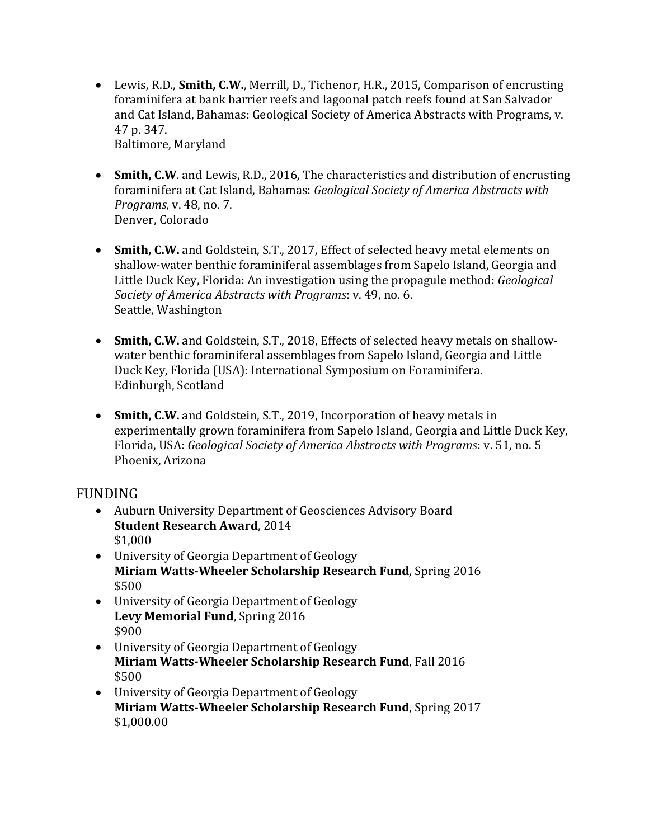- Lewis, R.D., **Smith, C.W.**, Merrill, D., Tichenor, H.R., 2015, Comparison of encrusting foraminifera at bank barrier reefs and lagoonal patch reefs found at San Salvador and Cat Island, Bahamas: Geological Society of America Abstracts with Programs, v. 47 p. 347. Baltimore, Maryland
- **Smith, C.W**. and Lewis, R.D., 2016, The characteristics and distribution of encrusting foraminifera at Cat Island, Bahamas: *Geological Society of America Abstracts with Programs*, v. 48, no. 7. Denver, Colorado
- **Smith, C.W.** and Goldstein, S.T., 2017, Effect of selected heavy metal elements on shallow-water benthic foraminiferal assemblages from Sapelo Island, Georgia and Little Duck Key, Florida: An investigation using the propagule method: *Geological Society of America Abstracts with Programs*: v. 49, no. 6. Seattle, Washington
- **Smith, C.W.** and Goldstein, S.T., 2018, Effects of selected heavy metals on shallowwater benthic foraminiferal assemblages from Sapelo Island, Georgia and Little Duck Key, Florida (USA): International Symposium on Foraminifera. Edinburgh, Scotland
- **Smith, C.W.** and Goldstein, S.T., 2019, Incorporation of heavy metals in experimentally grown foraminifera from Sapelo Island, Georgia and Little Duck Key, Florida, USA: *Geological Society of America Abstracts with Programs*: v. 51, no. 5 Phoenix, Arizona

# FUNDING

- Auburn University Department of Geosciences Advisory Board **Student Research Award**, 2014 \$1,000
- University of Georgia Department of Geology **Miriam Watts-Wheeler Scholarship Research Fund**, Spring 2016 \$500
- University of Georgia Department of Geology **Levy Memorial Fund**, Spring 2016 \$900
- University of Georgia Department of Geology **Miriam Watts-Wheeler Scholarship Research Fund**, Fall 2016 \$500
- University of Georgia Department of Geology **Miriam Watts-Wheeler Scholarship Research Fund**, Spring 2017 \$1,000.00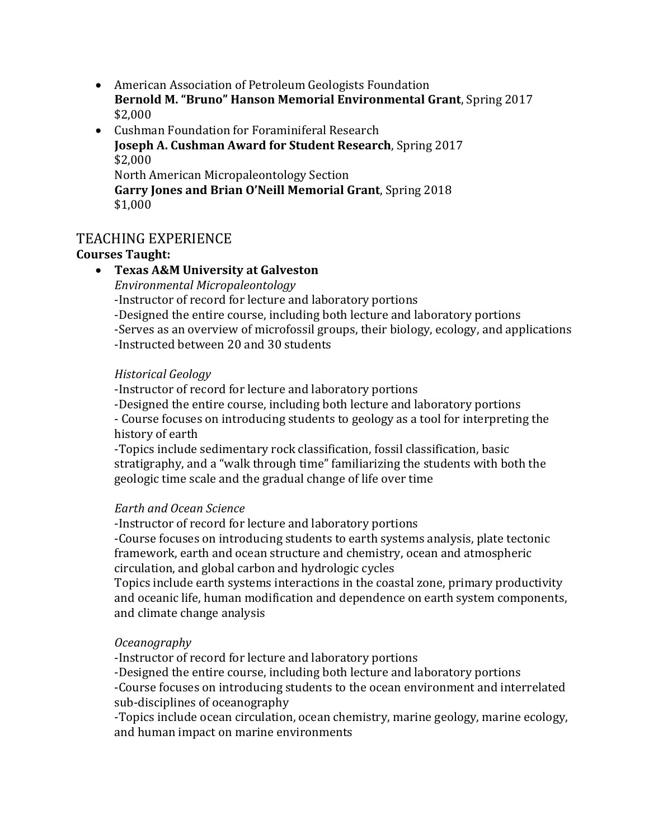- American Association of Petroleum Geologists Foundation **Bernold M. "Bruno" Hanson Memorial Environmental Grant**, Spring 2017 \$2,000
- Cushman Foundation for Foraminiferal Research **Joseph A. Cushman Award for Student Research**, Spring 2017 \$2,000 North American Micropaleontology Section **Garry Jones and Brian O'Neill Memorial Grant**, Spring 2018 \$1,000

# TEACHING EXPERIENCE

# **Courses Taught:**

# • **Texas A&M University at Galveston**

*Environmental Micropaleontology*

-Instructor of record for lecture and laboratory portions

-Designed the entire course, including both lecture and laboratory portions

-Serves as an overview of microfossil groups, their biology, ecology, and applications -Instructed between 20 and 30 students

#### *Historical Geology*

-Instructor of record for lecture and laboratory portions

-Designed the entire course, including both lecture and laboratory portions - Course focuses on introducing students to geology as a tool for interpreting the history of earth

-Topics include sedimentary rock classification, fossil classification, basic stratigraphy, and a "walk through time" familiarizing the students with both the geologic time scale and the gradual change of life over time

#### *Earth and Ocean Science*

-Instructor of record for lecture and laboratory portions

-Course focuses on introducing students to earth systems analysis, plate tectonic framework, earth and ocean structure and chemistry, ocean and atmospheric circulation, and global carbon and hydrologic cycles

Topics include earth systems interactions in the coastal zone, primary productivity and oceanic life, human modification and dependence on earth system components, and climate change analysis

#### *Oceanography*

-Instructor of record for lecture and laboratory portions

-Designed the entire course, including both lecture and laboratory portions -Course focuses on introducing students to the ocean environment and interrelated sub-disciplines of oceanography

-Topics include ocean circulation, ocean chemistry, marine geology, marine ecology, and human impact on marine environments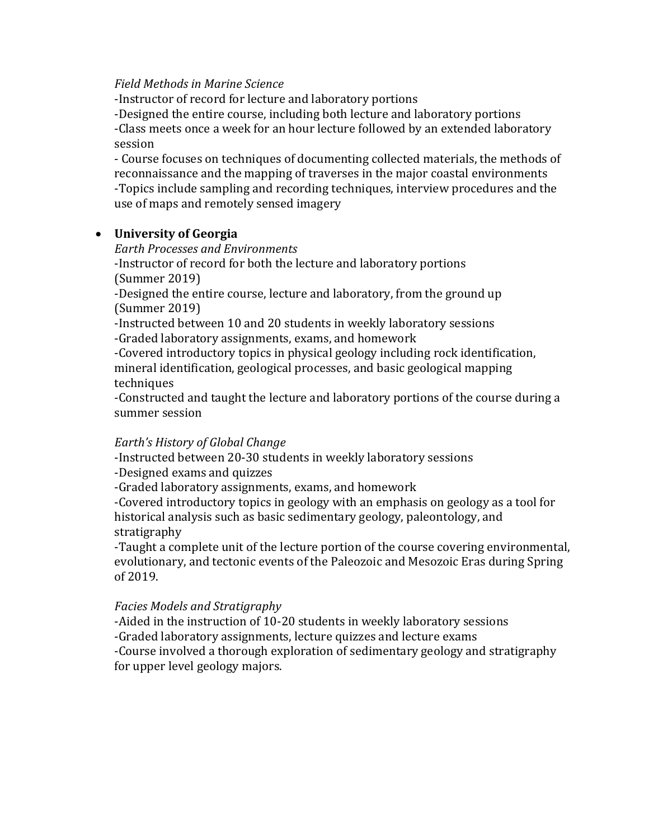#### *Field Methods in Marine Science*

-Instructor of record for lecture and laboratory portions

-Designed the entire course, including both lecture and laboratory portions -Class meets once a week for an hour lecture followed by an extended laboratory session

- Course focuses on techniques of documenting collected materials, the methods of reconnaissance and the mapping of traverses in the major coastal environments -Topics include sampling and recording techniques, interview procedures and the use of maps and remotely sensed imagery

#### • **University of Georgia**

*Earth Processes and Environments* 

-Instructor of record for both the lecture and laboratory portions (Summer 2019)

-Designed the entire course, lecture and laboratory, from the ground up (Summer 2019)

-Instructed between 10 and 20 students in weekly laboratory sessions -Graded laboratory assignments, exams, and homework

-Covered introductory topics in physical geology including rock identification, mineral identification, geological processes, and basic geological mapping techniques

-Constructed and taught the lecture and laboratory portions of the course during a summer session

#### *Earth's History of Global Change*

-Instructed between 20-30 students in weekly laboratory sessions

-Designed exams and quizzes

-Graded laboratory assignments, exams, and homework

-Covered introductory topics in geology with an emphasis on geology as a tool for historical analysis such as basic sedimentary geology, paleontology, and stratigraphy

-Taught a complete unit of the lecture portion of the course covering environmental, evolutionary, and tectonic events of the Paleozoic and Mesozoic Eras during Spring of 2019.

#### *Facies Models and Stratigraphy*

-Aided in the instruction of 10-20 students in weekly laboratory sessions -Graded laboratory assignments, lecture quizzes and lecture exams -Course involved a thorough exploration of sedimentary geology and stratigraphy for upper level geology majors.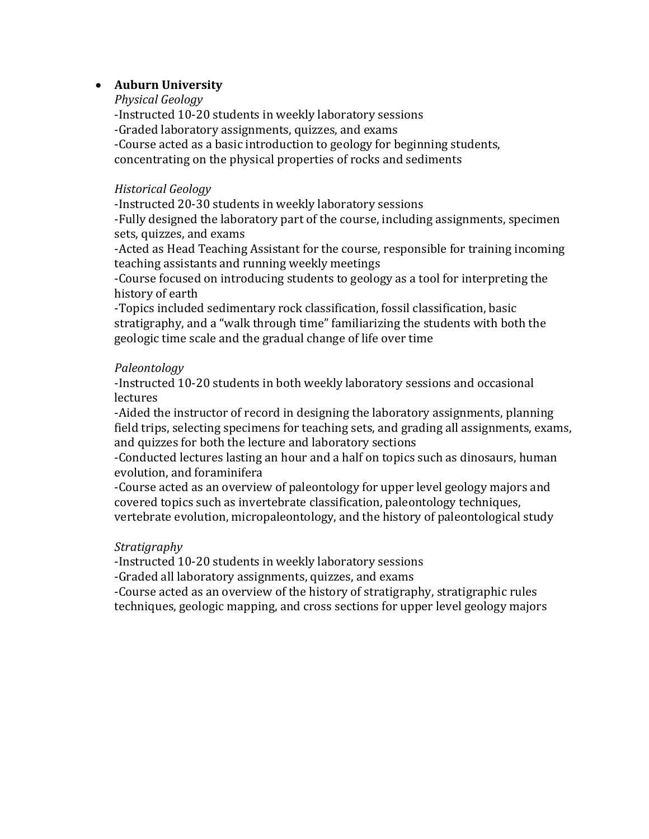#### • **Auburn University**

*Physical Geology* -Instructed 10-20 students in weekly laboratory sessions -Graded laboratory assignments, quizzes, and exams -Course acted as a basic introduction to geology for beginning students, concentrating on the physical properties of rocks and sediments

#### *Historical Geology*

-Instructed 20-30 students in weekly laboratory sessions

-Fully designed the laboratory part of the course, including assignments, specimen sets, quizzes, and exams

-Acted as Head Teaching Assistant for the course, responsible for training incoming teaching assistants and running weekly meetings

-Course focused on introducing students to geology as a tool for interpreting the history of earth

-Topics included sedimentary rock classification, fossil classification, basic stratigraphy, and a "walk through time" familiarizing the students with both the geologic time scale and the gradual change of life over time

#### *Paleontology*

-Instructed 10-20 students in both weekly laboratory sessions and occasional lectures

-Aided the instructor of record in designing the laboratory assignments, planning field trips, selecting specimens for teaching sets, and grading all assignments, exams, and quizzes for both the lecture and laboratory sections

-Conducted lectures lasting an hour and a half on topics such as dinosaurs, human evolution, and foraminifera

-Course acted as an overview of paleontology for upper level geology majors and covered topics such as invertebrate classification, paleontology techniques, vertebrate evolution, micropaleontology, and the history of paleontological study

#### *Stratigraphy*

-Instructed 10-20 students in weekly laboratory sessions

-Graded all laboratory assignments, quizzes, and exams

-Course acted as an overview of the history of stratigraphy, stratigraphic rules techniques, geologic mapping, and cross sections for upper level geology majors